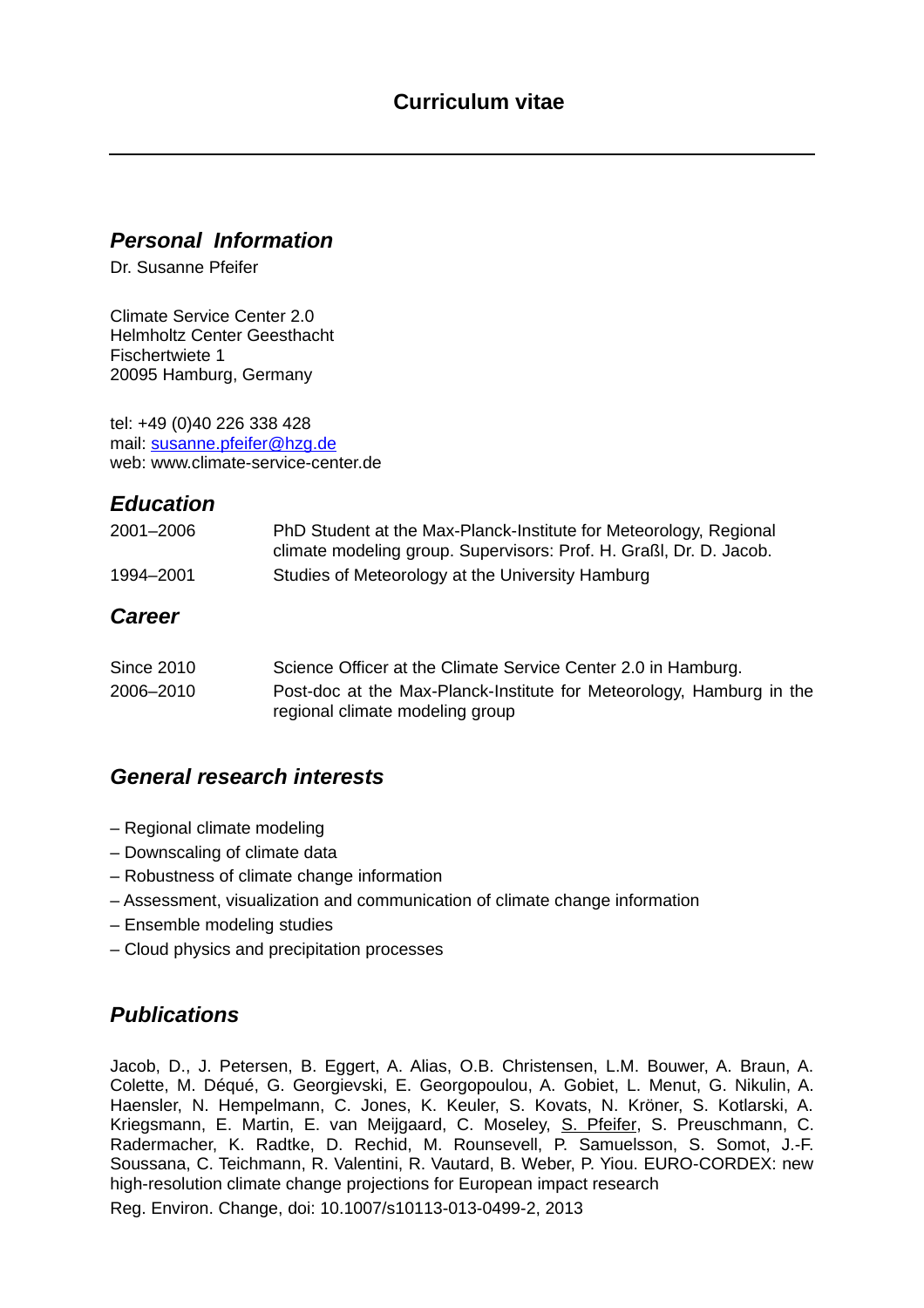#### *Personal Information*

Dr. Susanne Pfeifer

Climate Service Center 2.0 Helmholtz Center Geesthacht Fischertwiete 1 20095 Hamburg, Germany

tel: +49 (0)40 226 338 428 mail: [susanne.pfeifer@hzg.de](mailto:susanne.pfeifer@hzg.de) web: www.climate-service-center.de

# *Education*

| 2001-2006 | PhD Student at the Max-Planck-Institute for Meteorology, Regional  |
|-----------|--------------------------------------------------------------------|
|           | climate modeling group. Supervisors: Prof. H. Graßl, Dr. D. Jacob. |
| 1994–2001 | Studies of Meteorology at the University Hamburg                   |

#### *Career*

| <b>Since 2010</b> | Science Officer at the Climate Service Center 2.0 in Hamburg.                                           |
|-------------------|---------------------------------------------------------------------------------------------------------|
| 2006–2010         | Post-doc at the Max-Planck-Institute for Meteorology, Hamburg in the<br>regional climate modeling group |

## *General research interests*

- Regional climate modeling
- Downscaling of climate data
- Robustness of climate change information
- Assessment, visualization and communication of climate change information
- Ensemble modeling studies
- Cloud physics and precipitation processes

## *Publications*

Jacob, D., J. Petersen, B. Eggert, A. Alias, O.B. Christensen, L.M. Bouwer, A. Braun, A. Colette, M. Déqué, G. Georgievski, E. Georgopoulou, A. Gobiet, L. Menut, G. Nikulin, A. Haensler, N. Hempelmann, C. Jones, K. Keuler, S. Kovats, N. Kröner, S. Kotlarski, A. Kriegsmann, E. Martin, E. van Meijgaard, C. Moseley, S. Pfeifer, S. Preuschmann, C. Radermacher, K. Radtke, D. Rechid, M. Rounsevell, P. Samuelsson, S. Somot, J.-F. Soussana, C. Teichmann, R. Valentini, R. Vautard, B. Weber, P. Yiou. EURO-CORDEX: new high-resolution climate change projections for European impact research Reg. Environ. Change, doi: 10.1007/s10113-013-0499-2, 2013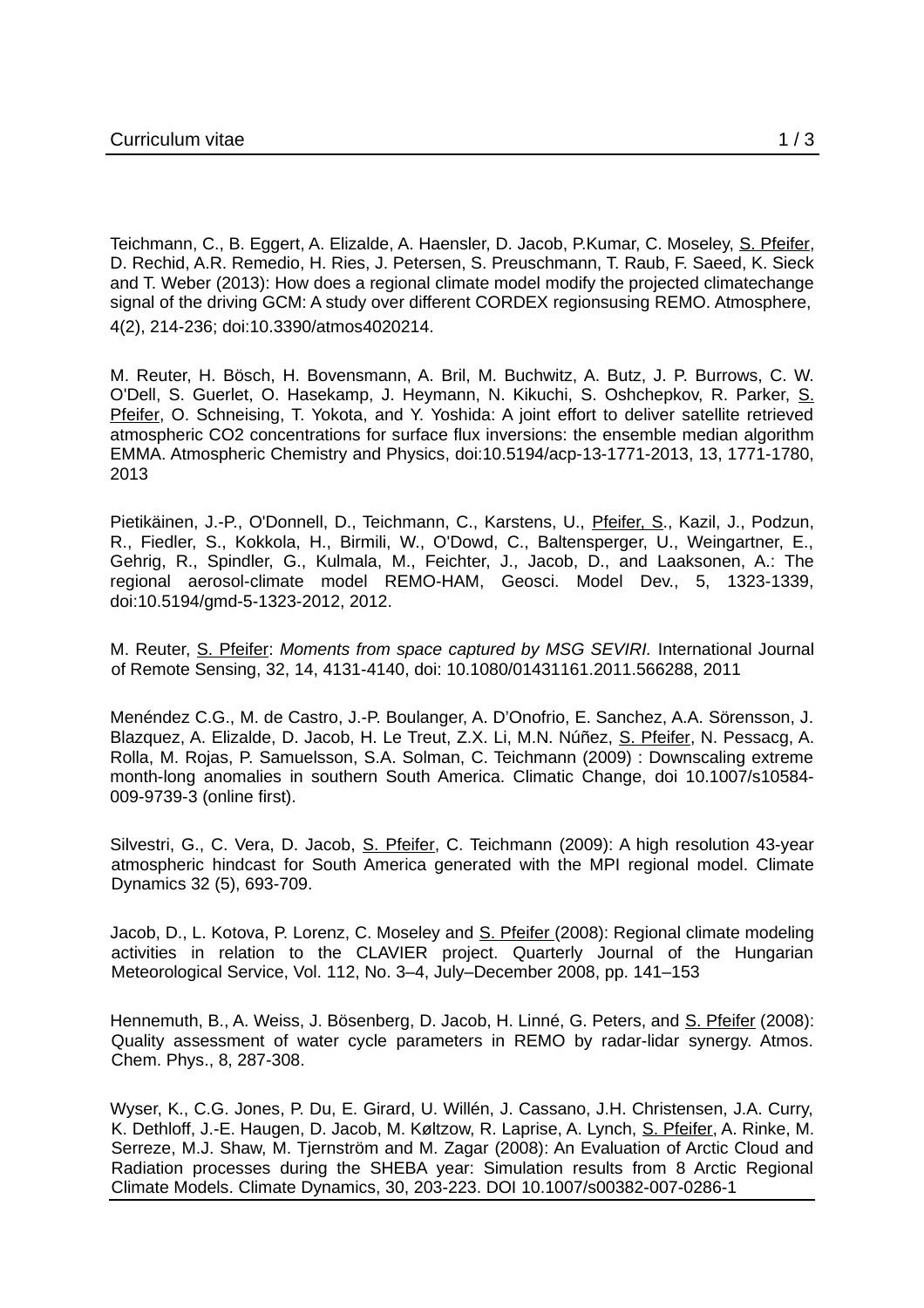Teichmann, C., B. Eggert, A. Elizalde, A. Haensler, D. Jacob, P.Kumar, C. Moseley, S. Pfeifer, D. Rechid, A.R. Remedio, H. Ries, J. Petersen, S. Preuschmann, T. Raub, F. Saeed, K. Sieck and T. Weber (2013): How does a regional climate model modify the projected climatechange signal of the driving GCM: A study over different CORDEX regionsusing REMO. Atmosphere, 4(2), 214-236; doi:10.3390/atmos4020214.

M. Reuter, H. Bösch, H. Bovensmann, A. Bril, M. Buchwitz, A. Butz, J. P. Burrows, C. W. O'Dell, S. Guerlet, O. Hasekamp, J. Heymann, N. Kikuchi, S. Oshchepkov, R. Parker, S. Pfeifer, O. Schneising, T. Yokota, and Y. Yoshida: A joint effort to deliver satellite retrieved atmospheric CO2 concentrations for surface flux inversions: the ensemble median algorithm EMMA. Atmospheric Chemistry and Physics, doi:10.5194/acp-13-1771-2013, 13, 1771-1780, 2013

Pietikäinen, J.-P., O'Donnell, D., Teichmann, C., Karstens, U., Pfeifer, S., Kazil, J., Podzun, R., Fiedler, S., Kokkola, H., Birmili, W., O'Dowd, C., Baltensperger, U., Weingartner, E., Gehrig, R., Spindler, G., Kulmala, M., Feichter, J., Jacob, D., and Laaksonen, A.: The regional aerosol-climate model REMO-HAM, Geosci. Model Dev., 5, 1323-1339, doi:10.5194/gmd-5-1323-2012, 2012.

M. Reuter, S. Pfeifer: *Moments from space captured by MSG SEVIRI.* International Journal of Remote Sensing, 32, 14, 4131-4140, doi: 10.1080/01431161.2011.566288, 2011

Menéndez C.G., M. de Castro, J.-P. Boulanger, A. D'Onofrio, E. Sanchez, A.A. Sörensson, J. Blazquez, A. Elizalde, D. Jacob, H. Le Treut, Z.X. Li, M.N. Núñez, S. Pfeifer, N. Pessacg, A. Rolla, M. Rojas, P. Samuelsson, S.A. Solman, C. Teichmann (2009) : Downscaling extreme month-long anomalies in southern South America. Climatic Change, doi 10.1007/s10584- 009-9739-3 (online first).

Silvestri, G., C. Vera, D. Jacob, S. Pfeifer, C. Teichmann (2009): A high resolution 43-year atmospheric hindcast for South America generated with the MPI regional model. Climate Dynamics 32 (5), 693-709.

Jacob, D., L. Kotova, P. Lorenz, C. Moseley and S. Pfeifer (2008): Regional climate modeling activities in relation to the CLAVIER project. Quarterly Journal of the Hungarian Meteorological Service, Vol. 112, No. 3–4, July–December 2008, pp. 141–153

Hennemuth, B., A. Weiss, J. Bösenberg, D. Jacob, H. Linné, G. Peters, and S. Pfeifer (2008): Quality assessment of water cycle parameters in REMO by radar-lidar synergy. Atmos. Chem. Phys., 8, 287-308.

Wyser, K., C.G. Jones, P. Du, E. Girard, U. Willén, J. Cassano, J.H. Christensen, J.A. Curry, K. Dethloff, J.-E. Haugen, D. Jacob, M. Køltzow, R. Laprise, A. Lynch, S. Pfeifer, A. Rinke, M. Serreze, M.J. Shaw, M. Tjernström and M. Zagar (2008): An Evaluation of Arctic Cloud and Radiation processes during the SHEBA year: Simulation results from 8 Arctic Regional Climate Models. Climate Dynamics, 30, 203-223. DOI 10.1007/s00382-007-0286-1